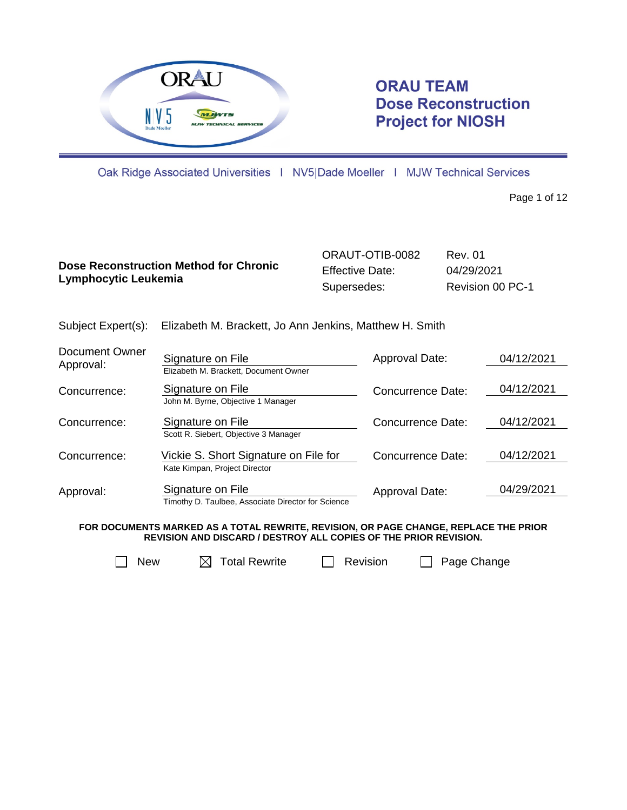

# **ORAU TEAM Dose Reconstruction Project for NIOSH**

Oak Ridge Associated Universities | NV5|Dade Moeller | MJW Technical Services

Page 1 of 12

|                                               | ORAUT-OTIB-0082        | Rev. 01          |
|-----------------------------------------------|------------------------|------------------|
| <b>Dose Reconstruction Method for Chronic</b> | <b>Effective Date:</b> | 04/29/2021       |
| Lymphocytic Leukemia                          | Supersedes:            | Revision 00 PC-1 |

|  | Subject Expert(s): Elizabeth M. Brackett, Jo Ann Jenkins, Matthew H. Smith |
|--|----------------------------------------------------------------------------|
|--|----------------------------------------------------------------------------|

| Document Owner<br>Approval: | Signature on File<br>Elizabeth M. Brackett. Document Owner              | Approval Date:           | 04/12/2021 |
|-----------------------------|-------------------------------------------------------------------------|--------------------------|------------|
| Concurrence:                | Signature on File<br>John M. Byrne, Objective 1 Manager                 | <b>Concurrence Date:</b> | 04/12/2021 |
| Concurrence:                | Signature on File<br>Scott R. Siebert, Objective 3 Manager              | Concurrence Date:        | 04/12/2021 |
| Concurrence:                | Vickie S. Short Signature on File for<br>Kate Kimpan, Project Director  | Concurrence Date:        | 04/12/2021 |
| Approval:                   | Signature on File<br>Timothy D. Taulbee, Associate Director for Science | Approval Date:           | 04/29/2021 |

**FOR DOCUMENTS MARKED AS A TOTAL REWRITE, REVISION, OR PAGE CHANGE, REPLACE THE PRIOR REVISION AND DISCARD / DESTROY ALL COPIES OF THE PRIOR REVISION.**



 $\Box$  New  $\Box$  Total Rewrite  $\Box$  Revision  $\Box$  Page Change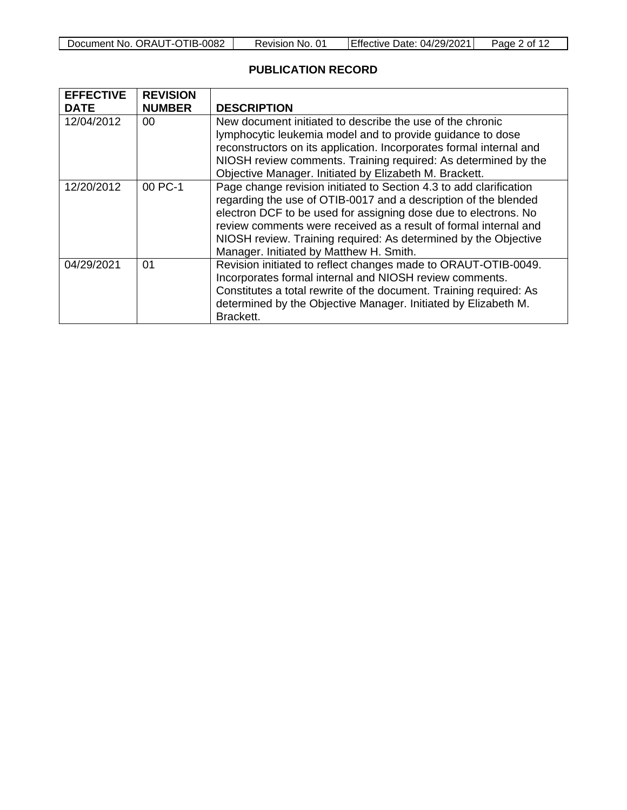| Document No. ORAUT-OTIB-0082 | Revision No. 01 | Effective Date: 04/29/2021 | Page 2 of 12 |
|------------------------------|-----------------|----------------------------|--------------|
|------------------------------|-----------------|----------------------------|--------------|

# **PUBLICATION RECORD**

| <b>EFFECTIVE</b><br><b>DATE</b> | <b>REVISION</b><br><b>NUMBER</b> | <b>DESCRIPTION</b>                                                                                                                                                                                                                                                                                                                                                                         |
|---------------------------------|----------------------------------|--------------------------------------------------------------------------------------------------------------------------------------------------------------------------------------------------------------------------------------------------------------------------------------------------------------------------------------------------------------------------------------------|
| 12/04/2012                      | 00                               | New document initiated to describe the use of the chronic<br>lymphocytic leukemia model and to provide guidance to dose<br>reconstructors on its application. Incorporates formal internal and<br>NIOSH review comments. Training required: As determined by the<br>Objective Manager. Initiated by Elizabeth M. Brackett.                                                                 |
| 12/20/2012                      | 00 PC-1                          | Page change revision initiated to Section 4.3 to add clarification<br>regarding the use of OTIB-0017 and a description of the blended<br>electron DCF to be used for assigning dose due to electrons. No<br>review comments were received as a result of formal internal and<br>NIOSH review. Training required: As determined by the Objective<br>Manager. Initiated by Matthew H. Smith. |
| 04/29/2021                      | 01                               | Revision initiated to reflect changes made to ORAUT-OTIB-0049.<br>Incorporates formal internal and NIOSH review comments.<br>Constitutes a total rewrite of the document. Training required: As<br>determined by the Objective Manager. Initiated by Elizabeth M.<br>Brackett.                                                                                                             |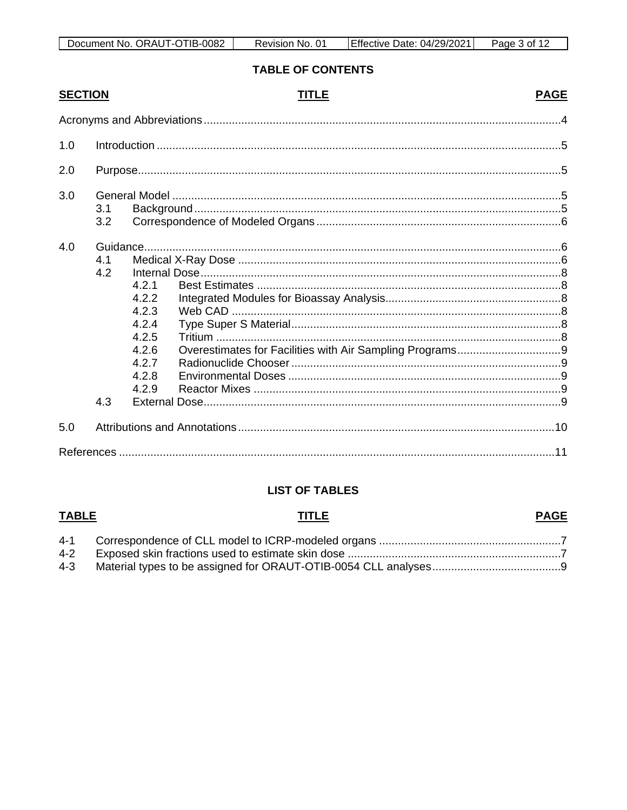# **TABLE OF CONTENTS**

| <b>SECTION</b> |                   | TITLE                                                                         | <b>PAGE</b> |
|----------------|-------------------|-------------------------------------------------------------------------------|-------------|
|                |                   |                                                                               |             |
| 1.0            |                   |                                                                               |             |
| 2.0            |                   |                                                                               |             |
| 3.0            | 3.1<br>3.2        |                                                                               |             |
| 4.0            | 4.1<br>4.2<br>4.3 | 4.2.1<br>4.2.2<br>4.2.3<br>4.2.4<br>4.2.5<br>4.2.6<br>4.2.7<br>4.2.8<br>4.2.9 |             |
| 5.0            |                   |                                                                               |             |
|                |                   |                                                                               |             |

## **LIST OF TABLES**

## **TABLE**

# **TITLE**

## **PAGE**

| 4-3 |  |
|-----|--|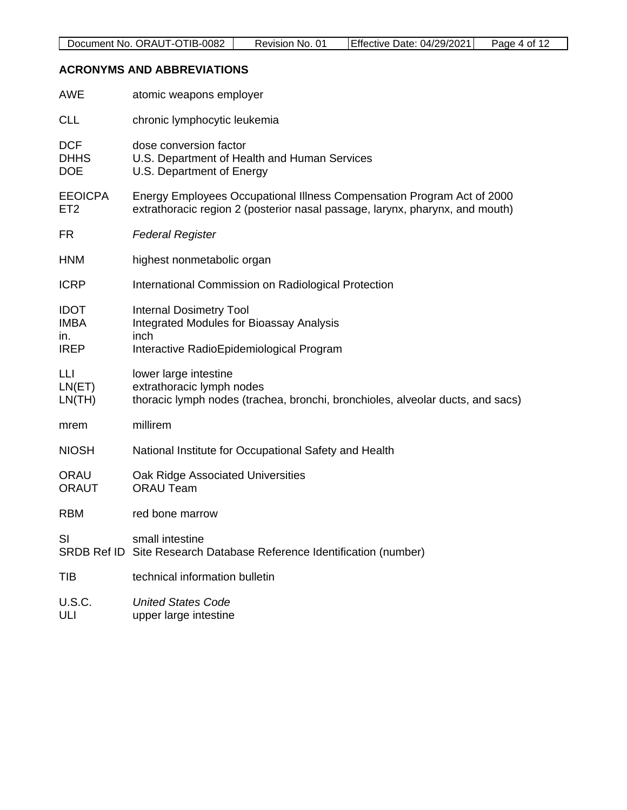# <span id="page-3-0"></span>**ACRONYMS AND ABBREVIATIONS**

| <b>AWE</b>                                       | atomic weapons employer                                                                                                                                |
|--------------------------------------------------|--------------------------------------------------------------------------------------------------------------------------------------------------------|
| <b>CLL</b>                                       | chronic lymphocytic leukemia                                                                                                                           |
| <b>DCF</b><br><b>DHHS</b><br><b>DOE</b>          | dose conversion factor<br>U.S. Department of Health and Human Services<br>U.S. Department of Energy                                                    |
| <b>EEOICPA</b><br>ET <sub>2</sub>                | Energy Employees Occupational Illness Compensation Program Act of 2000<br>extrathoracic region 2 (posterior nasal passage, larynx, pharynx, and mouth) |
| <b>FR</b>                                        | <b>Federal Register</b>                                                                                                                                |
| <b>HNM</b>                                       | highest nonmetabolic organ                                                                                                                             |
| <b>ICRP</b>                                      | International Commission on Radiological Protection                                                                                                    |
| <b>IDOT</b><br><b>IMBA</b><br>ın.<br><b>IREP</b> | <b>Internal Dosimetry Tool</b><br><b>Integrated Modules for Bioassay Analysis</b><br>inch<br>Interactive RadioEpidemiological Program                  |
| LLI<br>LN(ET)<br>LN(TH)                          | lower large intestine<br>extrathoracic lymph nodes<br>thoracic lymph nodes (trachea, bronchi, bronchioles, alveolar ducts, and sacs)                   |
| mrem                                             | millirem                                                                                                                                               |
| <b>NIOSH</b>                                     | National Institute for Occupational Safety and Health                                                                                                  |
| <b>ORAU</b><br><b>ORAUT</b>                      | Oak Ridge Associated Universities<br><b>ORAU Team</b>                                                                                                  |
| <b>RBM</b>                                       | red bone marrow                                                                                                                                        |
| SI                                               | small intestine<br>SRDB Ref ID Site Research Database Reference Identification (number)                                                                |
| TIB                                              | technical information bulletin                                                                                                                         |
| U.S.C.<br>ULI                                    | <b>United States Code</b><br>upper large intestine                                                                                                     |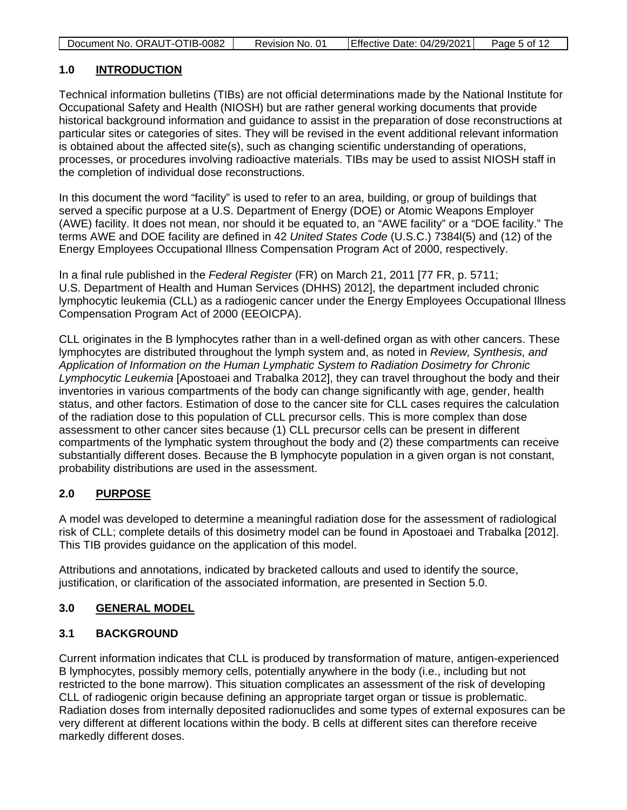| Document No. ORAUT-OTIB-0082 | Revision No. 01 | Effective Date: 04/29/2021 | Page 5 of 12 |
|------------------------------|-----------------|----------------------------|--------------|

## <span id="page-4-0"></span>**1.0 INTRODUCTION**

Technical information bulletins (TIBs) are not official determinations made by the National Institute for Occupational Safety and Health (NIOSH) but are rather general working documents that provide historical background information and guidance to assist in the preparation of dose reconstructions at particular sites or categories of sites. They will be revised in the event additional relevant information is obtained about the affected site(s), such as changing scientific understanding of operations, processes, or procedures involving radioactive materials. TIBs may be used to assist NIOSH staff in the completion of individual dose reconstructions.

In this document the word "facility" is used to refer to an area, building, or group of buildings that served a specific purpose at a U.S. Department of Energy (DOE) or Atomic Weapons Employer (AWE) facility. It does not mean, nor should it be equated to, an "AWE facility" or a "DOE facility." The terms AWE and DOE facility are defined in 42 *United States Code* (U.S.C.) 7384l(5) and (12) of the Energy Employees Occupational Illness Compensation Program Act of 2000, respectively.

In a final rule published in the *Federal Register* (FR) on March 21, 2011 [77 FR, p. 5711; U.S. Department of Health and Human Services (DHHS) 2012], the department included chronic lymphocytic leukemia (CLL) as a radiogenic cancer under the Energy Employees Occupational Illness Compensation Program Act of 2000 (EEOICPA).

CLL originates in the B lymphocytes rather than in a well-defined organ as with other cancers. These lymphocytes are distributed throughout the lymph system and, as noted in *Review, Synthesis, and Application of Information on the Human Lymphatic System to Radiation Dosimetry for Chronic Lymphocytic Leukemia* [Apostoaei and Trabalka 2012], they can travel throughout the body and their inventories in various compartments of the body can change significantly with age, gender, health status, and other factors. Estimation of dose to the cancer site for CLL cases requires the calculation of the radiation dose to this population of CLL precursor cells. This is more complex than dose assessment to other cancer sites because (1) CLL precursor cells can be present in different compartments of the lymphatic system throughout the body and (2) these compartments can receive substantially different doses. Because the B lymphocyte population in a given organ is not constant, probability distributions are used in the assessment.

## <span id="page-4-1"></span>**2.0 PURPOSE**

A model was developed to determine a meaningful radiation dose for the assessment of radiological risk of CLL; complete details of this dosimetry model can be found in Apostoaei and Trabalka [2012]. This TIB provides guidance on the application of this model.

Attributions and annotations, indicated by bracketed callouts and used to identify the source, justification, or clarification of the associated information, are presented in Section [5.0.](#page-9-0)

## <span id="page-4-2"></span>**3.0 GENERAL MODEL**

## <span id="page-4-3"></span>**3.1 BACKGROUND**

Current information indicates that CLL is produced by transformation of mature, antigen-experienced B lymphocytes, possibly memory cells, potentially anywhere in the body (i.e., including but not restricted to the bone marrow). This situation complicates an assessment of the risk of developing CLL of radiogenic origin because defining an appropriate target organ or tissue is problematic. Radiation doses from internally deposited radionuclides and some types of external exposures can be very different at different locations within the body. B cells at different sites can therefore receive markedly different doses.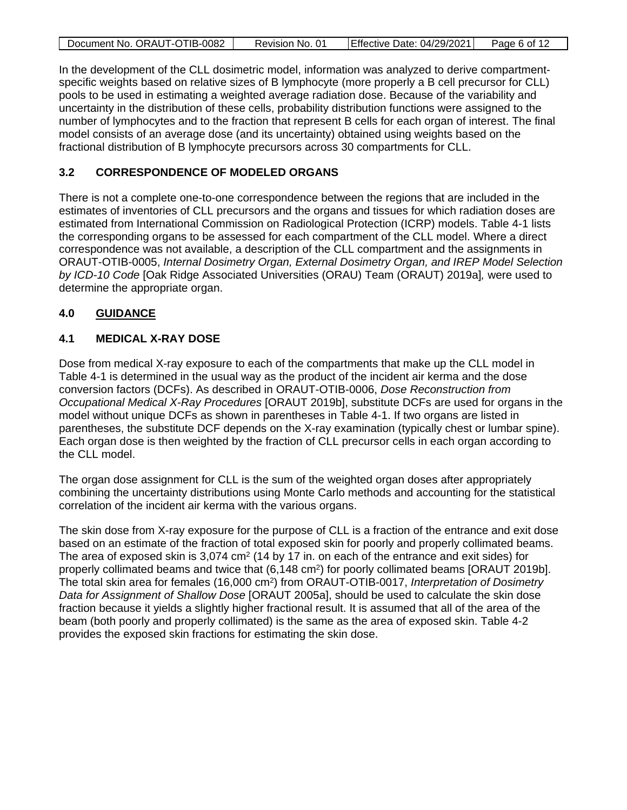| Document No. ORAUT-OTIB-0082 | Revision No. 01 | Effective Date: 04/29/2021 | Page 6 of 12 |
|------------------------------|-----------------|----------------------------|--------------|

In the development of the CLL dosimetric model, information was analyzed to derive compartmentspecific weights based on relative sizes of B lymphocyte (more properly a B cell precursor for CLL) pools to be used in estimating a weighted average radiation dose. Because of the variability and uncertainty in the distribution of these cells, probability distribution functions were assigned to the number of lymphocytes and to the fraction that represent B cells for each organ of interest. The final model consists of an average dose (and its uncertainty) obtained using weights based on the fractional distribution of B lymphocyte precursors across 30 compartments for CLL.

#### <span id="page-5-0"></span>**3.2 CORRESPONDENCE OF MODELED ORGANS**

There is not a complete one-to-one correspondence between the regions that are included in the estimates of inventories of CLL precursors and the organs and tissues for which radiation doses are estimated from International Commission on Radiological Protection (ICRP) models. Table 4-1 lists the corresponding organs to be assessed for each compartment of the CLL model. Where a direct correspondence was not available, a description of the CLL compartment and the assignments in ORAUT-OTIB-0005, *Internal Dosimetry Organ, External Dosimetry Organ, and IREP Model Selection by ICD-10 Code* [Oak Ridge Associated Universities (ORAU) Team (ORAUT) 2019a]*,* were used to determine the appropriate organ.

## <span id="page-5-1"></span>**4.0 GUIDANCE**

## <span id="page-5-2"></span>**4.1 MEDICAL X-RAY DOSE**

Dose from medical X-ray exposure to each of the compartments that make up the CLL model in Table 4-1 is determined in the usual way as the product of the incident air kerma and the dose conversion factors (DCFs). As described in ORAUT-OTIB-0006, *Dose Reconstruction from Occupational Medical X-Ray Procedures* [ORAUT 2019b], substitute DCFs are used for organs in the model without unique DCFs as shown in parentheses in Table 4-1. If two organs are listed in parentheses, the substitute DCF depends on the X-ray examination (typically chest or lumbar spine). Each organ dose is then weighted by the fraction of CLL precursor cells in each organ according to the CLL model.

The organ dose assignment for CLL is the sum of the weighted organ doses after appropriately combining the uncertainty distributions using Monte Carlo methods and accounting for the statistical correlation of the incident air kerma with the various organs.

The skin dose from X-ray exposure for the purpose of CLL is a fraction of the entrance and exit dose based on an estimate of the fraction of total exposed skin for poorly and properly collimated beams. The area of exposed skin is 3,074 cm<sup>2</sup> (14 by 17 in. on each of the entrance and exit sides) for properly collimated beams and twice that (6,148 cm<sup>2</sup>) for poorly collimated beams [ORAUT 2019b]. The total skin area for females (16,000 cm2) from ORAUT-OTIB-0017, *Interpretation of Dosimetry Data for Assignment of Shallow Dose* [ORAUT 2005a], should be used to calculate the skin dose fraction because it yields a slightly higher fractional result. It is assumed that all of the area of the beam (both poorly and properly collimated) is the same as the area of exposed skin. Table 4-2 provides the exposed skin fractions for estimating the skin dose.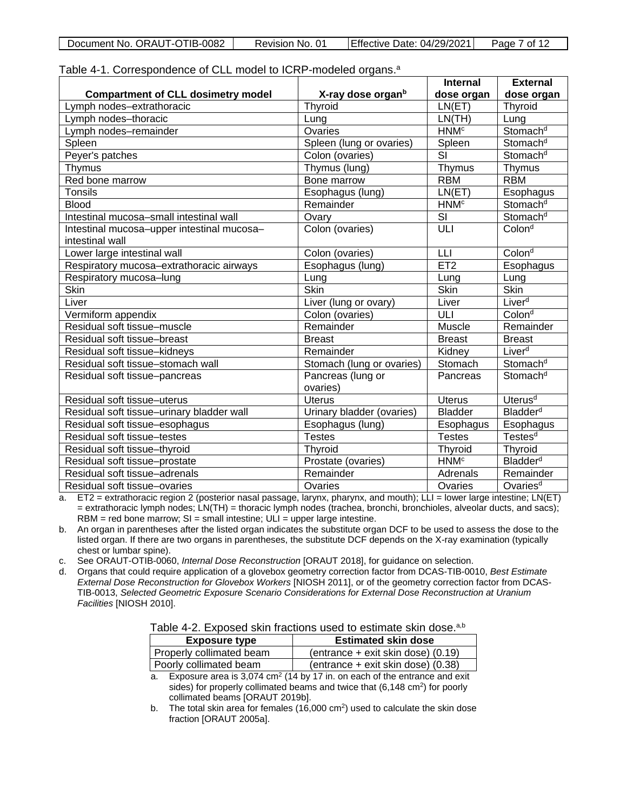<span id="page-6-0"></span>

|  | Document No. ORAUT-OTIB-0082 | Revision No. 01 | Effective Date: 04/29/2021 | Page 7 of 12 |
|--|------------------------------|-----------------|----------------------------|--------------|
|--|------------------------------|-----------------|----------------------------|--------------|

|  |  |  |  | Table 4-1. Correspondence of CLL model to ICRP-modeled organs. <sup>a</sup> |
|--|--|--|--|-----------------------------------------------------------------------------|
|--|--|--|--|-----------------------------------------------------------------------------|

|                                                               |                               | <b>Internal</b>        | <b>External</b>             |
|---------------------------------------------------------------|-------------------------------|------------------------|-----------------------------|
| <b>Compartment of CLL dosimetry model</b>                     | X-ray dose organ <sup>b</sup> | dose organ             | dose organ                  |
| Lymph nodes-extrathoracic                                     | Thyroid                       | LN(ET)                 | Thyroid                     |
| Lymph nodes-thoracic                                          | Lung                          | LN(TH)                 | Lung                        |
| Lymph nodes-remainder                                         | Ovaries                       | <b>HNM<sup>c</sup></b> | Stomach <sup>d</sup>        |
| Spleen                                                        | Spleen (lung or ovaries)      | Spleen                 | Stomach <sup>d</sup>        |
| Peyer's patches                                               | Colon (ovaries)               | SI                     | Stomach <sup>d</sup>        |
| Thymus                                                        | Thymus (lung)                 | Thymus                 | Thymus                      |
| Red bone marrow                                               | Bone marrow                   | <b>RBM</b>             | <b>RBM</b>                  |
| <b>Tonsils</b>                                                | Esophagus (lung)              | LN(ET)                 | Esophagus                   |
| <b>Blood</b>                                                  | Remainder                     | <b>HNM<sup>c</sup></b> | Stomach <sup>d</sup>        |
| Intestinal mucosa-small intestinal wall                       | Ovary                         | SI                     | Stomach <sup>d</sup>        |
| Intestinal mucosa-upper intestinal mucosa-<br>intestinal wall | Colon (ovaries)               | ULI                    | Colon <sup>d</sup>          |
| Lower large intestinal wall                                   | Colon (ovaries)               | LLI                    | Colon <sup>d</sup>          |
| Respiratory mucosa-extrathoracic airways                      | Esophagus (lung)              | ET2                    | Esophagus                   |
| Respiratory mucosa-lung                                       | Lung                          | Lung                   | Lung                        |
| Skin                                                          | Skin                          | Skin                   | Skin                        |
| Liver                                                         | Liver (lung or ovary)         | Liver                  | Liver <sup>d</sup>          |
| Vermiform appendix                                            | Colon (ovaries)               | $\overline{ULI}$       | Colon <sup>d</sup>          |
| Residual soft tissue-muscle                                   | Remainder                     | Muscle                 | Remainder                   |
| Residual soft tissue-breast                                   | <b>Breast</b>                 | <b>Breast</b>          | <b>Breast</b>               |
| Residual soft tissue-kidneys                                  | Remainder                     | Kidney                 | Liver <sup>d</sup>          |
| Residual soft tissue-stomach wall                             | Stomach (lung or ovaries)     | Stomach                | Stomach <sup>d</sup>        |
| Residual soft tissue-pancreas                                 | Pancreas (lung or<br>ovaries) | Pancreas               | Stomach <sup>d</sup>        |
| Residual soft tissue-uterus                                   | <b>Uterus</b>                 | <b>Uterus</b>          | $U$ terus <sup>d</sup>      |
| Residual soft tissue-urinary bladder wall                     | Urinary bladder (ovaries)     | <b>Bladder</b>         | <b>Bladder</b> <sup>d</sup> |
| Residual soft tissue-esophagus                                | Esophagus (lung)              | Esophagus              | Esophagus                   |
| Residual soft tissue-testes                                   | <b>Testes</b>                 | <b>Testes</b>          | Testes <sup>d</sup>         |
| Residual soft tissue-thyroid                                  | Thyroid                       | <b>Thyroid</b>         | Thyroid                     |
| Residual soft tissue-prostate                                 | Prostate (ovaries)            | HMM <sup>c</sup>       | <b>Bladder</b> <sup>d</sup> |
| Residual soft tissue-adrenals                                 | Remainder                     | Adrenals               | Remainder                   |
| Residual soft tissue-ovaries                                  | Ovaries                       | Ovaries                | Ovaries <sup>d</sup>        |

a. ET2 = extrathoracic region 2 (posterior nasal passage, larynx, pharynx, and mouth); LLI = lower large intestine; LN(ET) = extrathoracic lymph nodes; LN(TH) = thoracic lymph nodes (trachea, bronchi, bronchioles, alveolar ducts, and sacs);  $RBM = red bone marrow; SI = small intestine; ULI = upper large intestine.$ 

b. An organ in parentheses after the listed organ indicates the substitute organ DCF to be used to assess the dose to the listed organ. If there are two organs in parentheses, the substitute DCF depends on the X-ray examination (typically chest or lumbar spine).<br>See ORAUT-OTIB-0060, Internal Dose Reconstruction [ORAUT 2018], for guidance on selection.

c. See ORAUT-OTIB-0060, *Internal Dose Reconstruction* [ORAUT 2018], for guidance on selection.

d. Organs that could require application of a glovebox geometry correction factor from DCAS-TIB-0010, *Best Estimate External Dose Reconstruction for Glovebox Workers* [NIOSH 2011], or of the geometry correction factor from DCAS-TIB-0013, *Selected Geometric Exposure Scenario Considerations for External Dose Reconstruction at Uranium Facilities* [NIOSH 2010].

<span id="page-6-1"></span>Table 4-2. Exposed skin fractions used to estimate skin dose.<sup>a,b</sup>

| <b>Exposure type</b>               | <b>Estimated skin dose</b>                                                                                                                                                                                                        |
|------------------------------------|-----------------------------------------------------------------------------------------------------------------------------------------------------------------------------------------------------------------------------------|
| Properly collimated beam           | (entrance + exit skin dose) (0.19)                                                                                                                                                                                                |
| Poorly collimated beam             | (entrance + exit skin dose) (0.38)                                                                                                                                                                                                |
| $\sim$ $\sim$ $\sim$ $\sim$ $\sim$ | $\frac{1}{2}$ . The contract of the contract of the contract of the contract of the contract of the contract of the contract of the contract of the contract of the contract of the contract of the contract of the contract of t |

a. Exposure area is  $3,074$  cm<sup>2</sup> (14 by 17 in. on each of the entrance and exit sides) for properly collimated beams and twice that  $(6,148 \text{ cm}^2)$  for poorly collimated beams [ORAUT 2019b].

b. The total skin area for females  $(16,000 \text{ cm}^2)$  used to calculate the skin dose fraction [ORAUT 2005a].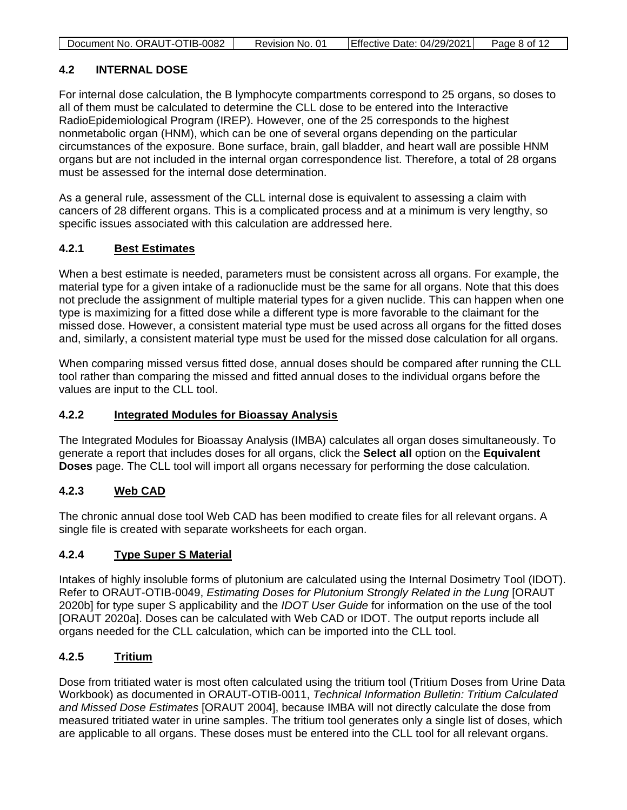| Document No. ORAUT-OTIB-0082 | Revision No. 01 | Effective Date: 04/29/2021 | Page 8 of 12 |
|------------------------------|-----------------|----------------------------|--------------|

## <span id="page-7-0"></span>**4.2 INTERNAL DOSE**

For internal dose calculation, the B lymphocyte compartments correspond to 25 organs, so doses to all of them must be calculated to determine the CLL dose to be entered into the Interactive RadioEpidemiological Program (IREP). However, one of the 25 corresponds to the highest nonmetabolic organ (HNM), which can be one of several organs depending on the particular circumstances of the exposure. Bone surface, brain, gall bladder, and heart wall are possible HNM organs but are not included in the internal organ correspondence list. Therefore, a total of 28 organs must be assessed for the internal dose determination.

As a general rule, assessment of the CLL internal dose is equivalent to assessing a claim with cancers of 28 different organs. This is a complicated process and at a minimum is very lengthy, so specific issues associated with this calculation are addressed here.

## <span id="page-7-1"></span>**4.2.1 Best Estimates**

When a best estimate is needed, parameters must be consistent across all organs. For example, the material type for a given intake of a radionuclide must be the same for all organs. Note that this does not preclude the assignment of multiple material types for a given nuclide. This can happen when one type is maximizing for a fitted dose while a different type is more favorable to the claimant for the missed dose. However, a consistent material type must be used across all organs for the fitted doses and, similarly, a consistent material type must be used for the missed dose calculation for all organs.

When comparing missed versus fitted dose, annual doses should be compared after running the CLL tool rather than comparing the missed and fitted annual doses to the individual organs before the values are input to the CLL tool.

#### <span id="page-7-2"></span>**4.2.2 Integrated Modules for Bioassay Analysis**

The Integrated Modules for Bioassay Analysis (IMBA) calculates all organ doses simultaneously. To generate a report that includes doses for all organs, click the **Select all** option on the **Equivalent Doses** page. The CLL tool will import all organs necessary for performing the dose calculation.

## <span id="page-7-3"></span>**4.2.3 Web CAD**

The chronic annual dose tool Web CAD has been modified to create files for all relevant organs. A single file is created with separate worksheets for each organ.

## <span id="page-7-4"></span>**4.2.4 Type Super S Material**

Intakes of highly insoluble forms of plutonium are calculated using the Internal Dosimetry Tool (IDOT). Refer to ORAUT-OTIB-0049, *Estimating Doses for Plutonium Strongly Related in the Lung* [ORAUT 2020b] for type super S applicability and the *IDOT User Guide* for information on the use of the tool [ORAUT 2020a]. Doses can be calculated with Web CAD or IDOT. The output reports include all organs needed for the CLL calculation, which can be imported into the CLL tool.

## <span id="page-7-5"></span>**4.2.5 Tritium**

Dose from tritiated water is most often calculated using the tritium tool (Tritium Doses from Urine Data Workbook) as documented in ORAUT-OTIB-0011, *Technical Information Bulletin: Tritium Calculated and Missed Dose Estimates* [ORAUT 2004], because IMBA will not directly calculate the dose from measured tritiated water in urine samples. The tritium tool generates only a single list of doses, which are applicable to all organs. These doses must be entered into the CLL tool for all relevant organs.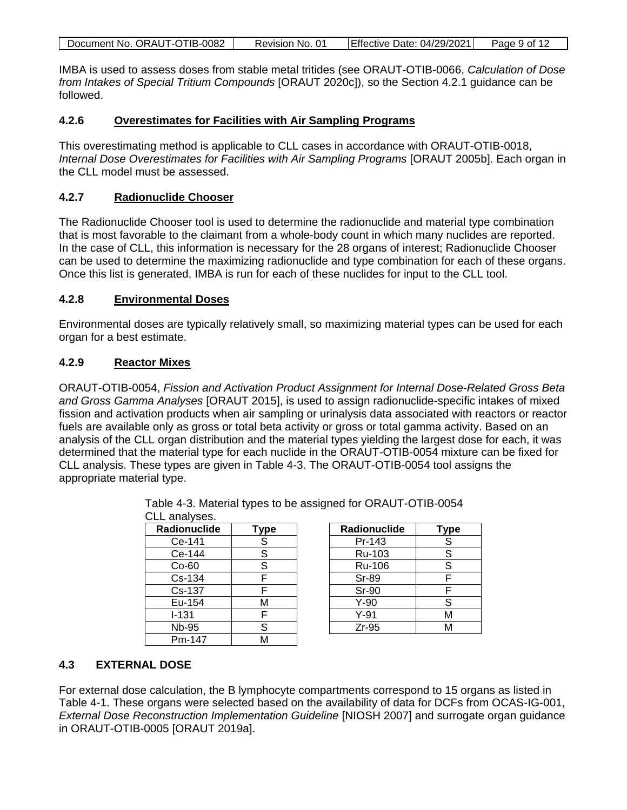| Document No. ORAUT-OTIB-0082 | Revision No. 01 | Effective Date: 04/29/2021 | Page 9 of 12 |
|------------------------------|-----------------|----------------------------|--------------|
|                              |                 |                            |              |

IMBA is used to assess doses from stable metal tritides (see ORAUT-OTIB-0066, *Calculation of Dose from Intakes of Special Tritium Compounds* [ORAUT 2020c]), so the Section [4.2.1](#page-7-1) guidance can be followed.

#### <span id="page-8-0"></span>**4.2.6 Overestimates for Facilities with Air Sampling Programs**

This overestimating method is applicable to CLL cases in accordance with ORAUT-OTIB-0018, *Internal Dose Overestimates for Facilities with Air Sampling Programs* [ORAUT 2005b]. Each organ in the CLL model must be assessed.

#### <span id="page-8-1"></span>**4.2.7 Radionuclide Chooser**

The Radionuclide Chooser tool is used to determine the radionuclide and material type combination that is most favorable to the claimant from a whole-body count in which many nuclides are reported. In the case of CLL, this information is necessary for the 28 organs of interest; Radionuclide Chooser can be used to determine the maximizing radionuclide and type combination for each of these organs. Once this list is generated, IMBA is run for each of these nuclides for input to the CLL tool.

#### <span id="page-8-2"></span>**4.2.8 Environmental Doses**

Environmental doses are typically relatively small, so maximizing material types can be used for each organ for a best estimate.

#### <span id="page-8-3"></span>**4.2.9 Reactor Mixes**

ORAUT-OTIB-0054, *Fission and Activation Product Assignment for Internal Dose-Related Gross Beta and Gross Gamma Analyses* [ORAUT 2015], is used to assign radionuclide-specific intakes of mixed fission and activation products when air sampling or urinalysis data associated with reactors or reactor fuels are available only as gross or total beta activity or gross or total gamma activity. Based on an analysis of the CLL organ distribution and the material types yielding the largest dose for each, it was determined that the material type for each nuclide in the ORAUT-OTIB-0054 mixture can be fixed for CLL analysis. These types are given in Table 4-3. The ORAUT-OTIB-0054 tool assigns the appropriate material type.

| CLL analyses.       |                |
|---------------------|----------------|
| <b>Radionuclide</b> | <b>Type</b>    |
| Ce-141              | $\overline{s}$ |
| Ce-144              | S              |
| $Co-60$             | S              |
| $Cs - 134$          | F              |
| Cs-137              | F              |
| Eu-154              | М              |
| $I - 131$           | F              |
| Nb-95               | S              |
| Pm-147              | M              |

| Radionuclide | <b>Type</b> |
|--------------|-------------|
| Pr-143       | S           |
| Ru-103       | $\mathsf S$ |
| Ru-106       | S           |
| Sr-89        | F           |
| <b>Sr-90</b> | F           |
| $Y-90$       | S           |
| $Y-91$       | М           |
| $Zr-95$      | NЛ          |

<span id="page-8-5"></span>Table 4-3. Material types to be assigned for ORAUT-OTIB-0054

## <span id="page-8-4"></span>**4.3 EXTERNAL DOSE**

For external dose calculation, the B lymphocyte compartments correspond to 15 organs as listed in Table 4-1. These organs were selected based on the availability of data for DCFs from OCAS-IG-001, *External Dose Reconstruction Implementation Guideline* [NIOSH 2007] and surrogate organ guidance in ORAUT-OTIB-0005 [ORAUT 2019a].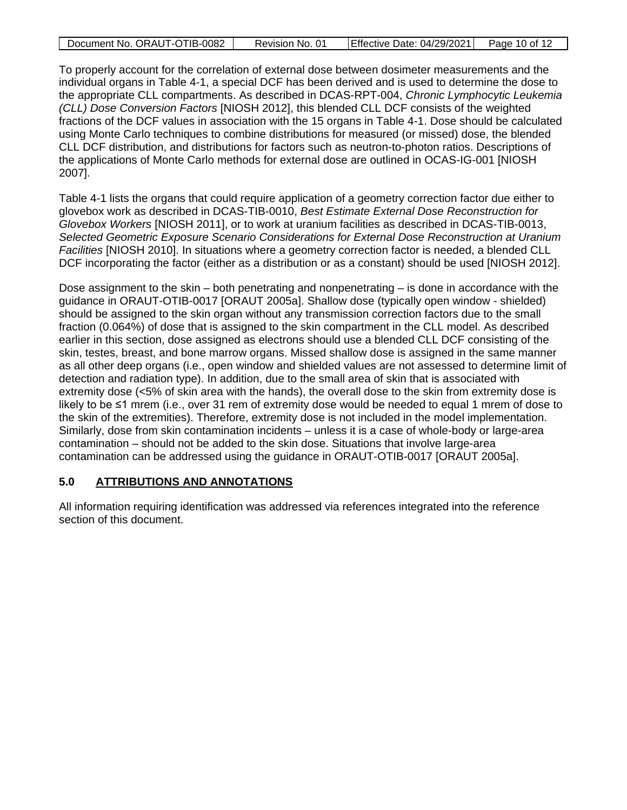| Document No. ORAUT-OTIB-0082 | Revision No. 01 | Effective Date: 04/29/2021 | Page 10 of 12 |
|------------------------------|-----------------|----------------------------|---------------|
|                              |                 |                            |               |

To properly account for the correlation of external dose between dosimeter measurements and the individual organs in Table 4-1, a special DCF has been derived and is used to determine the dose to the appropriate CLL compartments. As described in DCAS-RPT-004, *Chronic Lymphocytic Leukemia (CLL) Dose Conversion Factors* [NIOSH 2012], this blended CLL DCF consists of the weighted fractions of the DCF values in association with the 15 organs in Table 4-1. Dose should be calculated using Monte Carlo techniques to combine distributions for measured (or missed) dose, the blended CLL DCF distribution, and distributions for factors such as neutron-to-photon ratios. Descriptions of the applications of Monte Carlo methods for external dose are outlined in OCAS-IG-001 [NIOSH 2007].

Table 4-1 lists the organs that could require application of a geometry correction factor due either to glovebox work as described in DCAS-TIB-0010, *Best Estimate External Dose Reconstruction for Glovebox Workers* [NIOSH 2011], or to work at uranium facilities as described in DCAS-TIB-0013, *Selected Geometric Exposure Scenario Considerations for External Dose Reconstruction at Uranium Facilities* [NIOSH 2010]. In situations where a geometry correction factor is needed, a blended CLL DCF incorporating the factor (either as a distribution or as a constant) should be used [NIOSH 2012].

Dose assignment to the skin – both penetrating and nonpenetrating – is done in accordance with the guidance in ORAUT-OTIB-0017 [ORAUT 2005a]. Shallow dose (typically open window - shielded) should be assigned to the skin organ without any transmission correction factors due to the small fraction (0.064%) of dose that is assigned to the skin compartment in the CLL model. As described earlier in this section, dose assigned as electrons should use a blended CLL DCF consisting of the skin, testes, breast, and bone marrow organs. Missed shallow dose is assigned in the same manner as all other deep organs (i.e., open window and shielded values are not assessed to determine limit of detection and radiation type). In addition, due to the small area of skin that is associated with extremity dose (<5% of skin area with the hands), the overall dose to the skin from extremity dose is likely to be ≤1 mrem (i.e., over 31 rem of extremity dose would be needed to equal 1 mrem of dose to the skin of the extremities). Therefore, extremity dose is not included in the model implementation. Similarly, dose from skin contamination incidents – unless it is a case of whole-body or large-area contamination – should not be added to the skin dose. Situations that involve large-area contamination can be addressed using the guidance in ORAUT-OTIB-0017 [ORAUT 2005a].

## <span id="page-9-0"></span>**5.0 ATTRIBUTIONS AND ANNOTATIONS**

All information requiring identification was addressed via references integrated into the reference section of this document.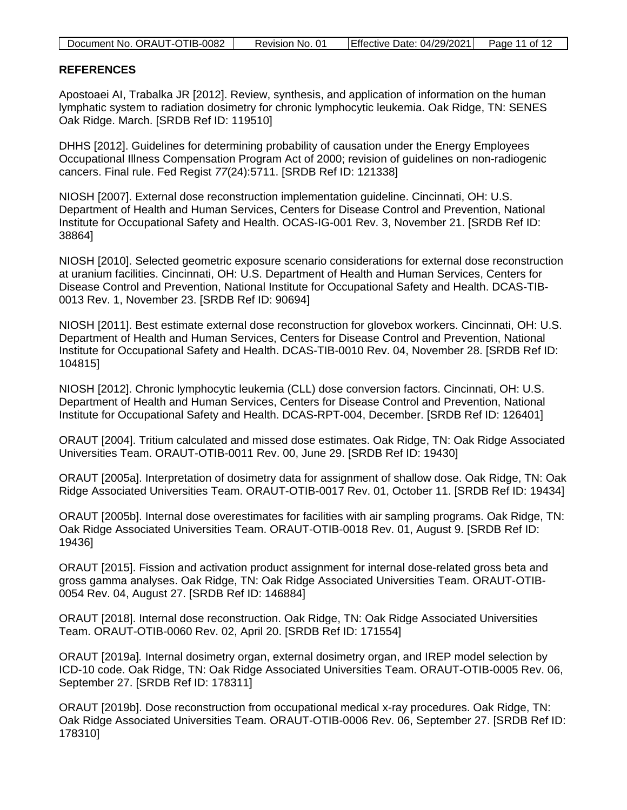| Document No. ORAUT-OTIB-0082 | Revision No. 01 | Effective Date: 04/29/2021 | Page 11 of 12 |
|------------------------------|-----------------|----------------------------|---------------|

#### <span id="page-10-0"></span>**REFERENCES**

Apostoaei AI, Trabalka JR [2012]. Review, synthesis, and application of information on the human lymphatic system to radiation dosimetry for chronic lymphocytic leukemia. Oak Ridge, TN: SENES Oak Ridge. March. [SRDB Ref ID: 119510]

DHHS [2012]. Guidelines for determining probability of causation under the Energy Employees Occupational Illness Compensation Program Act of 2000; revision of guidelines on non-radiogenic cancers. Final rule. Fed Regist *77*(24):5711. [SRDB Ref ID: 121338]

NIOSH [2007]. External dose reconstruction implementation guideline. Cincinnati, OH: U.S. Department of Health and Human Services, Centers for Disease Control and Prevention, National Institute for Occupational Safety and Health. OCAS-IG-001 Rev. 3, November 21. [SRDB Ref ID: 38864]

NIOSH [2010]. Selected geometric exposure scenario considerations for external dose reconstruction at uranium facilities. Cincinnati, OH: U.S. Department of Health and Human Services, Centers for Disease Control and Prevention, National Institute for Occupational Safety and Health. DCAS-TIB-0013 Rev. 1, November 23. [SRDB Ref ID: 90694]

NIOSH [2011]. Best estimate external dose reconstruction for glovebox workers. Cincinnati, OH: U.S. Department of Health and Human Services, Centers for Disease Control and Prevention, National Institute for Occupational Safety and Health. DCAS-TIB-0010 Rev. 04, November 28. [SRDB Ref ID: 104815]

NIOSH [2012]. Chronic lymphocytic leukemia (CLL) dose conversion factors. Cincinnati, OH: U.S. Department of Health and Human Services, Centers for Disease Control and Prevention, National Institute for Occupational Safety and Health. DCAS-RPT-004, December. [SRDB Ref ID: 126401]

ORAUT [2004]. Tritium calculated and missed dose estimates. Oak Ridge, TN: Oak Ridge Associated Universities Team. ORAUT-OTIB-0011 Rev. 00, June 29. [SRDB Ref ID: 19430]

ORAUT [2005a]. Interpretation of dosimetry data for assignment of shallow dose. Oak Ridge, TN: Oak Ridge Associated Universities Team. ORAUT-OTIB-0017 Rev. 01, October 11. [SRDB Ref ID: 19434]

ORAUT [2005b]. Internal dose overestimates for facilities with air sampling programs. Oak Ridge, TN: Oak Ridge Associated Universities Team. ORAUT-OTIB-0018 Rev. 01, August 9. [SRDB Ref ID: 19436]

ORAUT [2015]. Fission and activation product assignment for internal dose-related gross beta and gross gamma analyses. Oak Ridge, TN: Oak Ridge Associated Universities Team. ORAUT-OTIB-0054 Rev. 04, August 27. [SRDB Ref ID: 146884]

ORAUT [2018]. Internal dose reconstruction. Oak Ridge, TN: Oak Ridge Associated Universities Team. ORAUT-OTIB-0060 Rev. 02, April 20. [SRDB Ref ID: 171554]

ORAUT [2019a]*.* Internal dosimetry organ, external dosimetry organ, and IREP model selection by ICD-10 code. Oak Ridge, TN: Oak Ridge Associated Universities Team. ORAUT-OTIB-0005 Rev. 06, September 27. [SRDB Ref ID: 178311]

ORAUT [2019b]. Dose reconstruction from occupational medical x-ray procedures. Oak Ridge, TN: Oak Ridge Associated Universities Team. ORAUT-OTIB-0006 Rev. 06, September 27. [SRDB Ref ID: 178310]